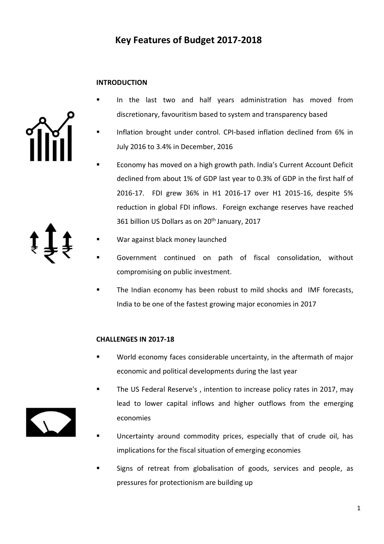### **INTRODUCTION**

- In the last two and half years administration has moved from discretionary, favouritism based to system and transparency based
- Inflation brought under control. CPI-based inflation declined from 6% in July 2016 to 3.4% in December, 2016
- Economy has moved on a high growth path. India's Current Account Deficit declined from about 1% of GDP last year to 0.3% of GDP in the first half of 2016-17. FDI grew 36% in H1 2016-17 over H1 2015-16, despite 5% reduction in global FDI inflows. Foreign exchange reserves have reached 361 billion US Dollars as on 20<sup>th</sup> January, 2017
- 
- War against black money launched
- Government continued on path of fiscal consolidation, without compromising on public investment.
- The Indian economy has been robust to mild shocks and IMF forecasts, India to be one of the fastest growing major economies in 2017

#### **CHALLENGES IN 2017-18**

- World economy faces considerable uncertainty, in the aftermath of major economic and political developments during the last year
- The US Federal Reserve's , intention to increase policy rates in 2017, may lead to lower capital inflows and higher outflows from the emerging economies
- Uncertainty around commodity prices, especially that of crude oil, has implications for the fiscal situation of emerging economies
- Signs of retreat from globalisation of goods, services and people, as pressures for protectionism are building up

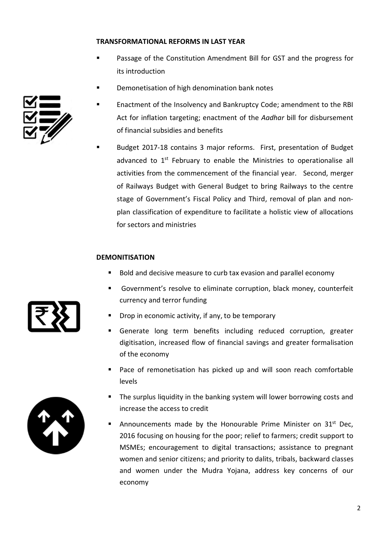#### **TRANSFORMATIONAL REFORMS IN LAST YEAR**

- Passage of the Constitution Amendment Bill for GST and the progress for its introduction
- Demonetisation of high denomination bank notes



 Budget 2017-18 contains 3 major reforms. First, presentation of Budget advanced to 1<sup>st</sup> February to enable the Ministries to operationalise all activities from the commencement of the financial year. Second, merger of Railways Budget with General Budget to bring Railways to the centre stage of Government's Fiscal Policy and Third, removal of plan and nonplan classification of expenditure to facilitate a holistic view of allocations for sectors and ministries

#### **DEMONITISATION**

- Bold and decisive measure to curb tax evasion and parallel economy
- Government's resolve to eliminate corruption, black money, counterfeit currency and terror funding
- Drop in economic activity, if any, to be temporary
- Generate long term benefits including reduced corruption, greater digitisation, increased flow of financial savings and greater formalisation of the economy
- **Pace of remonetisation has picked up and will soon reach comfortable** levels
- **The surplus liquidity in the banking system will lower borrowing costs and** increase the access to credit
- Announcements made by the Honourable Prime Minister on 31<sup>st</sup> Dec, 2016 focusing on housing for the poor; relief to farmers; credit support to MSMEs; encouragement to digital transactions; assistance to pregnant women and senior citizens; and priority to dalits, tribals, backward classes and women under the Mudra Yojana, address key concerns of our economy





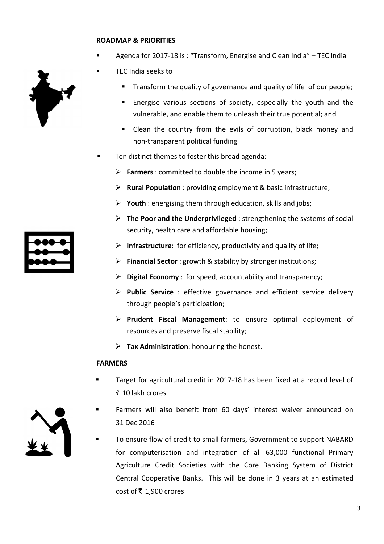#### **ROADMAP & PRIORITIES**

- Agenda for 2017-18 is : "Transform, Energise and Clean India" TEC India
- TEC India seeks to
	- Transform the quality of governance and quality of life of our people;
	- Energise various sections of society, especially the youth and the vulnerable, and enable them to unleash their true potential; and
	- Clean the country from the evils of corruption, black money and non-transparent political funding
- Ten distinct themes to foster this broad agenda:
	- **Farmers** : committed to double the income in 5 years;
	- **Rural Population** : providing employment & basic infrastructure;
	- **Youth** : energising them through education, skills and jobs;
	- **The Poor and the Underprivileged** : strengthening the systems of social security, health care and affordable housing;
	- **Infrastructure**: for efficiency, productivity and quality of life;
	- **Financial Sector** : growth & stability by stronger institutions;
	- **Digital Economy** : for speed, accountability and transparency;
	- **Public Service** : effective governance and efficient service delivery through people's participation;
	- **Prudent Fiscal Management**: to ensure optimal deployment of resources and preserve fiscal stability;
	- **Tax Administration**: honouring the honest.

#### **FARMERS**

- Target for agricultural credit in 2017-18 has been fixed at a record level of  $\bar{\tau}$  10 lakh crores
- Farmers will also benefit from 60 days' interest waiver announced on 31 Dec 2016
- To ensure flow of credit to small farmers, Government to support NABARD for computerisation and integration of all 63,000 functional Primary Agriculture Credit Societies with the Core Banking System of District Central Cooperative Banks. This will be done in 3 years at an estimated cost of ₹ 1,900 crores





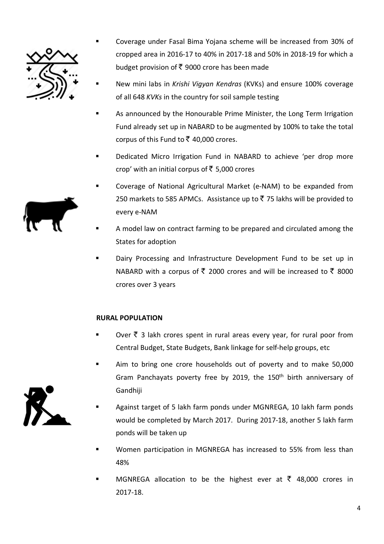

- Coverage under Fasal Bima Yojana scheme will be increased from 30% of cropped area in 2016-17 to 40% in 2017-18 and 50% in 2018-19 for which a budget provision of  $\bar{\tau}$  9000 crore has been made
- New mini labs in *Krishi Vigyan Kendras* (KVKs) and ensure 100% coverage of all 648 *KVKs* in the country for soil sample testing
- As announced by the Honourable Prime Minister, the Long Term Irrigation Fund already set up in NABARD to be augmented by 100% to take the total corpus of this Fund to  $\bar{\xi}$  40,000 crores.
- Dedicated Micro Irrigation Fund in NABARD to achieve 'per drop more crop' with an initial corpus of  $\bar{\tau}$  5,000 crores
- Coverage of National Agricultural Market (e-NAM) to be expanded from 250 markets to 585 APMCs. Assistance up to ₹75 lakhs will be provided to every e-NAM
- A model law on contract farming to be prepared and circulated among the States for adoption
- Dairy Processing and Infrastructure Development Fund to be set up in NABARD with a corpus of ₹ 2000 crores and will be increased to ₹ 8000 crores over 3 years

# **RURAL POPULATION**

- Over  $\bar{\tau}$  3 lakh crores spent in rural areas every year, for rural poor from Central Budget, State Budgets, Bank linkage for self-help groups, etc
- Aim to bring one crore households out of poverty and to make 50,000 Gram Panchayats poverty free by 2019, the 150<sup>th</sup> birth anniversary of Gandhiji
- Against target of 5 lakh farm ponds under MGNREGA, 10 lakh farm ponds would be completed by March 2017. During 2017-18, another 5 lakh farm ponds will be taken up
- Women participation in MGNREGA has increased to 55% from less than 48%
- MGNREGA allocation to be the highest ever at  $\bar{\tau}$  48,000 crores in 2017-18.



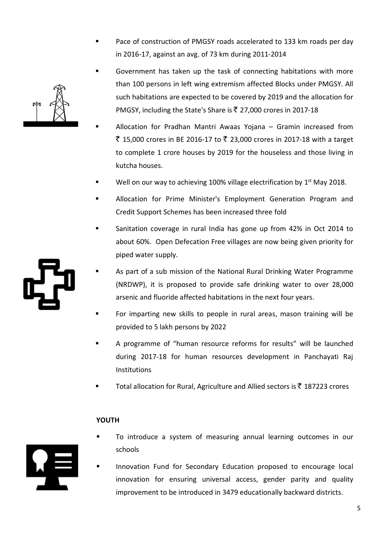- Pace of construction of PMGSY roads accelerated to 133 km roads per day in 2016-17, against an avg. of 73 km during 2011-2014
- Government has taken up the task of connecting habitations with more than 100 persons in left wing extremism affected Blocks under PMGSY. All such habitations are expected to be covered by 2019 and the allocation for PMGSY, including the State's Share is  $\bar{\tau}$  27,000 crores in 2017-18
- Allocation for Pradhan Mantri Awaas Yojana Gramin increased from ₹ 15,000 crores in BE 2016-17 to ₹ 23,000 crores in 2017-18 with a target to complete 1 crore houses by 2019 for the houseless and those living in kutcha houses.
- Well on our way to achieving 100% village electrification by 1<sup>st</sup> May 2018.
- Allocation for Prime Minister's Employment Generation Program and Credit Support Schemes has been increased three fold
- Sanitation coverage in rural India has gone up from 42% in Oct 2014 to about 60%. Open Defecation Free villages are now being given priority for piped water supply.
- As part of a sub mission of the National Rural Drinking Water Programme (NRDWP), it is proposed to provide safe drinking water to over 28,000 arsenic and fluoride affected habitations in the next four years.
- For imparting new skills to people in rural areas, mason training will be provided to 5 lakh persons by 2022
- A programme of "human resource reforms for results" will be launched during 2017-18 for human resources development in Panchayati Raj **Institutions**
- Total allocation for Rural, Agriculture and Allied sectors is  $\bar{\tau}$  187223 crores

### **YOUTH**

- To introduce a system of measuring annual learning outcomes in our schools
- Innovation Fund for Secondary Education proposed to encourage local innovation for ensuring universal access, gender parity and quality improvement to be introduced in 3479 educationally backward districts.





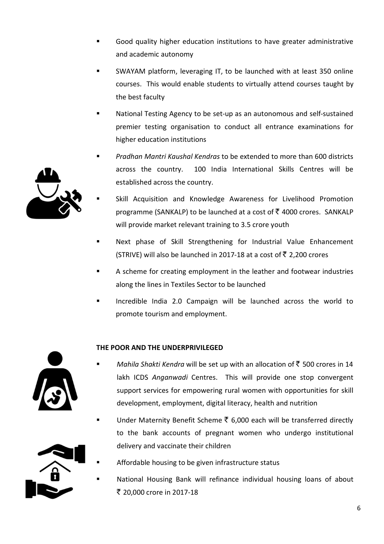- Good quality higher education institutions to have greater administrative and academic autonomy
- SWAYAM platform, leveraging IT, to be launched with at least 350 online courses. This would enable students to virtually attend courses taught by the best faculty
- National Testing Agency to be set-up as an autonomous and self-sustained premier testing organisation to conduct all entrance examinations for higher education institutions
- *Pradhan Mantri Kaushal Kendras* to be extended to more than 600 districts across the country. 100 India International Skills Centres will be established across the country.
- Skill Acquisition and Knowledge Awareness for Livelihood Promotion programme (SANKALP) to be launched at a cost of  $\bar{\tau}$  4000 crores. SANKALP will provide market relevant training to 3.5 crore youth
- Next phase of Skill Strengthening for Industrial Value Enhancement (STRIVE) will also be launched in 2017-18 at a cost of  $\bar{\tau}$  2,200 crores
- A scheme for creating employment in the leather and footwear industries along the lines in Textiles Sector to be launched
- Incredible India 2.0 Campaign will be launched across the world to promote tourism and employment.

# **THE POOR AND THE UNDERPRIVILEGED**

- *Mahila Shakti Kendra* will be set up with an allocation of  $\bar{z}$  500 crores in 14 lakh ICDS *Anganwadi* Centres. This will provide one stop convergent support services for empowering rural women with opportunities for skill development, employment, digital literacy, health and nutrition
- Under Maternity Benefit Scheme  $\bar{\tau}$  6,000 each will be transferred directly to the bank accounts of pregnant women who undergo institutional delivery and vaccinate their children
	- Affordable housing to be given infrastructure status
	- National Housing Bank will refinance individual housing loans of about ` 20,000 crore in 2017-18



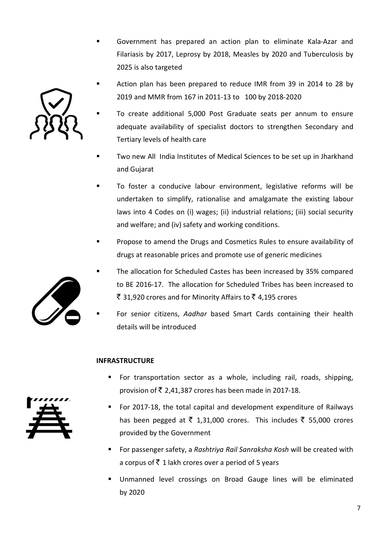Government has prepared an action plan to eliminate Kala-Azar and Filariasis by 2017, Leprosy by 2018, Measles by 2020 and Tuberculosis by 2025 is also targeted





- Two new All India Institutes of Medical Sciences to be set up in Jharkhand and Gujarat
- To foster a conducive labour environment, legislative reforms will be undertaken to simplify, rationalise and amalgamate the existing labour laws into 4 Codes on (i) wages; (ii) industrial relations; (iii) social security and welfare; and (iv) safety and working conditions.
- Propose to amend the Drugs and Cosmetics Rules to ensure availability of drugs at reasonable prices and promote use of generic medicines
- The allocation for Scheduled Castes has been increased by 35% compared to BE 2016-17. The allocation for Scheduled Tribes has been increased to ₹ 31,920 crores and for Minority Affairs to ₹ 4,195 crores
- For senior citizens, *Aadhar* based Smart Cards containing their health details will be introduced

### **INFRASTRUCTURE**

- **For transportation sector as a whole, including rail, roads, shipping,** provision of  $\bar{\bar{\xi}}$  2,41,387 crores has been made in 2017-18.
- For 2017-18, the total capital and development expenditure of Railways has been pegged at  $\bar{\tau}$  1,31,000 crores. This includes  $\bar{\tau}$  55,000 crores provided by the Government
- For passenger safety, a *Rashtriya Rail Sanraksha Kosh* will be created with a corpus of  $\bar{\tau}$  1 lakh crores over a period of 5 years
- Unmanned level crossings on Broad Gauge lines will be eliminated by 2020





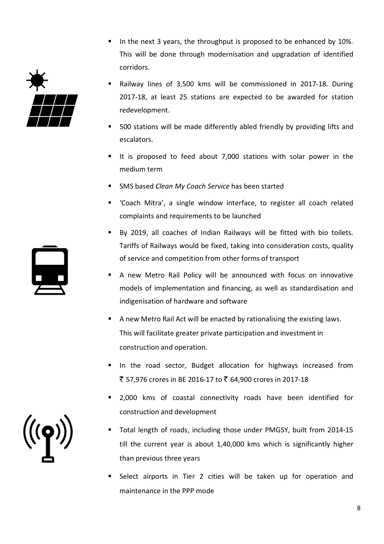- In the next 3 years, the throughput is proposed to be enhanced by  $10\%$ . This will be done through modernisation and upgradation of identified corridors.
	- Railway lines of 3,500 kms will be commissioned in 2017-18. During 2017-18, at least 25 stations are expected to be awarded for station redevelopment.
	- 500 stations will be made differently abled friendly by providing lifts and escalators.
	- It is proposed to feed about 7,000 stations with solar power in the medium term
	- SMS based *Clean My Coach Service* has been started
	- 'Coach Mitra', a single window interface, to register all coach related complaints and requirements to be launched
	- By 2019, all coaches of Indian Railways will be fitted with bio toilets. Tariffs of Railways would be fixed, taking into consideration costs, quality of service and competition from other forms of transport
	- A new Metro Rail Policy will be announced with focus on innovative models of implementation and financing, as well as standardisation and indigenisation of hardware and software
	- A new Metro Rail Act will be enacted by rationalising the existing laws. This will facilitate greater private participation and investment in construction and operation.
	- In the road sector, Budget allocation for highways increased from ` 57,976 crores in BE 2016-17 to ` 64,900 crores in 2017-18
	- 2,000 kms of coastal connectivity roads have been identified for construction and development
	- Total length of roads, including those under PMGSY, built from 2014-15 till the current year is about 1,40,000 kms which is significantly higher than previous three years
	- Select airports in Tier 2 cities will be taken up for operation and maintenance in the PPP mode



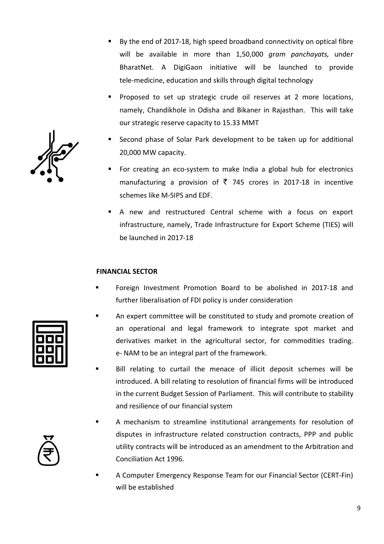- By the end of 2017-18, high speed broadband connectivity on optical fibre will be available in more than 1,50,000 *gram panchayats,* under BharatNet. A DigiGaon initiative will be launched to provide tele-medicine, education and skills through digital technology
- **Proposed to set up strategic crude oil reserves at 2 more locations,** namely, Chandikhole in Odisha and Bikaner in Rajasthan. This will take our strategic reserve capacity to 15.33 MMT
- Second phase of Solar Park development to be taken up for additional 20,000 MW capacity.
- For creating an eco-system to make India a global hub for electronics manufacturing a provision of  $\bar{\tau}$  745 crores in 2017-18 in incentive schemes like M-SIPS and EDF.
- A new and restructured Central scheme with a focus on export infrastructure, namely, Trade Infrastructure for Export Scheme (TIES) will be launched in 2017-18

#### **FINANCIAL SECTOR**

- Foreign Investment Promotion Board to be abolished in 2017-18 and further liberalisation of FDI policy is under consideration
- An expert committee will be constituted to study and promote creation of an operational and legal framework to integrate spot market and derivatives market in the agricultural sector, for commodities trading. e- NAM to be an integral part of the framework.
- Bill relating to curtail the menace of illicit deposit schemes will be introduced. A bill relating to resolution of financial firms will be introduced in the current Budget Session of Parliament. This will contribute to stability and resilience of our financial system
- A mechanism to streamline institutional arrangements for resolution of disputes in infrastructure related construction contracts, PPP and public utility contracts will be introduced as an amendment to the Arbitration and Conciliation Act 1996.
- A Computer Emergency Response Team for our Financial Sector (CERT-Fin) will be established



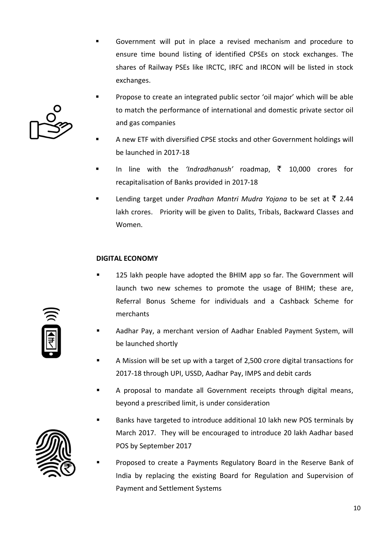- Government will put in place a revised mechanism and procedure to ensure time bound listing of identified CPSEs on stock exchanges. The shares of Railway PSEs like IRCTC, IRFC and IRCON will be listed in stock exchanges.
- Propose to create an integrated public sector 'oil major' which will be able to match the performance of international and domestic private sector oil and gas companies
- A new ETF with diversified CPSE stocks and other Government holdings will be launched in 2017-18
- In line with the *'Indradhanush'* roadmap, ` 10,000 crores for recapitalisation of Banks provided in 2017-18
- Lending target under *Pradhan Mantri Mudra Yojana* to be set at  $\bar{\tau}$  2.44 lakh crores. Priority will be given to Dalits, Tribals, Backward Classes and Women.

### **DIGITAL ECONOMY**

- 125 lakh people have adopted the BHIM app so far. The Government will launch two new schemes to promote the usage of BHIM; these are, Referral Bonus Scheme for individuals and a Cashback Scheme for merchants
- Aadhar Pay, a merchant version of Aadhar Enabled Payment System, will be launched shortly
- A Mission will be set up with a target of 2,500 crore digital transactions for 2017-18 through UPI, USSD, Aadhar Pay, IMPS and debit cards
- A proposal to mandate all Government receipts through digital means, beyond a prescribed limit, is under consideration
- Banks have targeted to introduce additional 10 lakh new POS terminals by March 2017. They will be encouraged to introduce 20 lakh Aadhar based POS by September 2017
- Proposed to create a Payments Regulatory Board in the Reserve Bank of India by replacing the existing Board for Regulation and Supervision of Payment and Settlement Systems





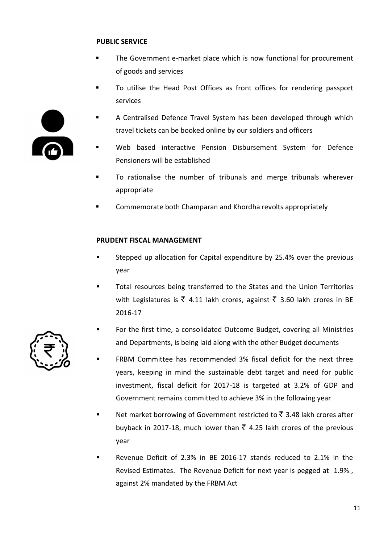### **PUBLIC SERVICE**

- The Government e-market place which is now functional for procurement of goods and services
- To utilise the Head Post Offices as front offices for rendering passport services



- Web based interactive Pension Disbursement System for Defence Pensioners will be established
- To rationalise the number of tribunals and merge tribunals wherever appropriate
- Commemorate both Champaran and Khordha revolts appropriately

### **PRUDENT FISCAL MANAGEMENT**

- Stepped up allocation for Capital expenditure by 25.4% over the previous year
- Total resources being transferred to the States and the Union Territories with Legislatures is  $\bar{\xi}$  4.11 lakh crores, against  $\bar{\xi}$  3.60 lakh crores in BE 2016-17
- For the first time, a consolidated Outcome Budget, covering all Ministries and Departments, is being laid along with the other Budget documents
- FRBM Committee has recommended 3% fiscal deficit for the next three years, keeping in mind the sustainable debt target and need for public investment, fiscal deficit for 2017-18 is targeted at 3.2% of GDP and Government remains committed to achieve 3% in the following year
- Net market borrowing of Government restricted to  $\bar{\mathfrak{c}}$  3.48 lakh crores after buyback in 2017-18, much lower than  $\bar{\zeta}$  4.25 lakh crores of the previous year
- Revenue Deficit of 2.3% in BE 2016-17 stands reduced to 2.1% in the Revised Estimates. The Revenue Deficit for next year is pegged at 1.9% , against 2% mandated by the FRBM Act



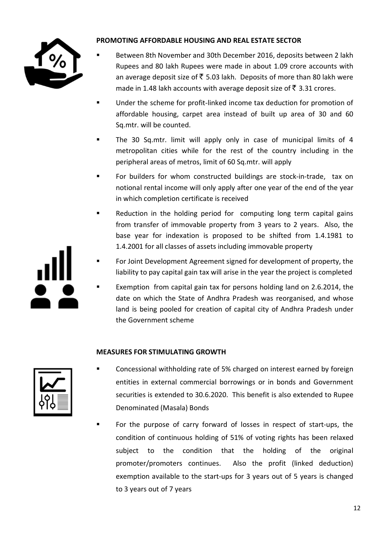

# **PROMOTING AFFORDABLE HOUSING AND REAL ESTATE SECTOR**

- Between 8th November and 30th December 2016, deposits between 2 lakh Rupees and 80 lakh Rupees were made in about 1.09 crore accounts with an average deposit size of  $\bar{\tau}$  5.03 lakh. Deposits of more than 80 lakh were made in 1.48 lakh accounts with average deposit size of  $\bar{z}$  3.31 crores.
- **Under the scheme for profit-linked income tax deduction for promotion of** affordable housing, carpet area instead of built up area of 30 and 60 Sq.mtr. will be counted.
- The 30 Sq.mtr. limit will apply only in case of municipal limits of 4 metropolitan cities while for the rest of the country including in the peripheral areas of metros, limit of 60 Sq.mtr. will apply
- For builders for whom constructed buildings are stock-in-trade, tax on notional rental income will only apply after one year of the end of the year in which completion certificate is received
- Reduction in the holding period for computing long term capital gains from transfer of immovable property from 3 years to 2 years. Also, the base year for indexation is proposed to be shifted from 1.4.1981 to 1.4.2001 for all classes of assets including immovable property
- For Joint Development Agreement signed for development of property, the liability to pay capital gain tax will arise in the year the project is completed
- Exemption from capital gain tax for persons holding land on 2.6.2014, the date on which the State of Andhra Pradesh was reorganised, and whose land is being pooled for creation of capital city of Andhra Pradesh under the Government scheme

# **MEASURES FOR STIMULATING GROWTH**



- Concessional withholding rate of 5% charged on interest earned by foreign entities in external commercial borrowings or in bonds and Government securities is extended to 30.6.2020. This benefit is also extended to Rupee Denominated (Masala) Bonds
- For the purpose of carry forward of losses in respect of start-ups, the condition of continuous holding of 51% of voting rights has been relaxed subject to the condition that the holding of the original promoter/promoters continues. Also the profit (linked deduction) exemption available to the start-ups for 3 years out of 5 years is changed to 3 years out of 7 years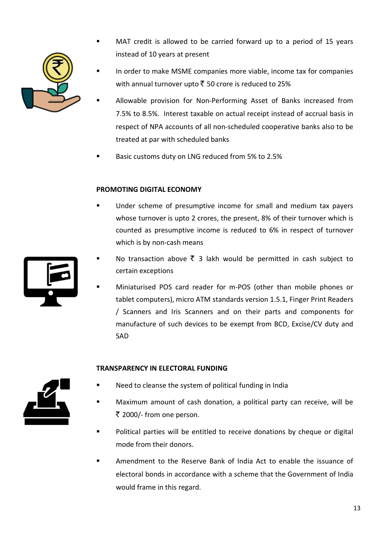

- MAT credit is allowed to be carried forward up to a period of 15 years instead of 10 years at present
- In order to make MSME companies more viable, income tax for companies with annual turnover upto  $\bar{\bar{\xi}}$  50 crore is reduced to 25%
- Allowable provision for Non-Performing Asset of Banks increased from 7.5% to 8.5%. Interest taxable on actual receipt instead of accrual basis in respect of NPA accounts of all non-scheduled cooperative banks also to be treated at par with scheduled banks
- Basic customs duty on LNG reduced from 5% to 2.5%

# **PROMOTING DIGITAL ECONOMY**

- Under scheme of presumptive income for small and medium tax payers whose turnover is upto 2 crores, the present, 8% of their turnover which is counted as presumptive income is reduced to 6% in respect of turnover which is by non-cash means
- No transaction above  $\bar{\xi}$  3 lakh would be permitted in cash subject to certain exceptions
- Miniaturised POS card reader for m-POS (other than mobile phones or tablet computers), micro ATM standards version 1.5.1, Finger Print Readers / Scanners and Iris Scanners and on their parts and components for manufacture of such devices to be exempt from BCD, Excise/CV duty and SAD

# **TRANSPARENCY IN ELECTORAL FUNDING**



- Need to cleanse the system of political funding in India
- Maximum amount of cash donation, a political party can receive, will be ` 2000/- from one person.
- Political parties will be entitled to receive donations by cheque or digital mode from their donors.
- Amendment to the Reserve Bank of India Act to enable the issuance of electoral bonds in accordance with a scheme that the Government of India would frame in this regard.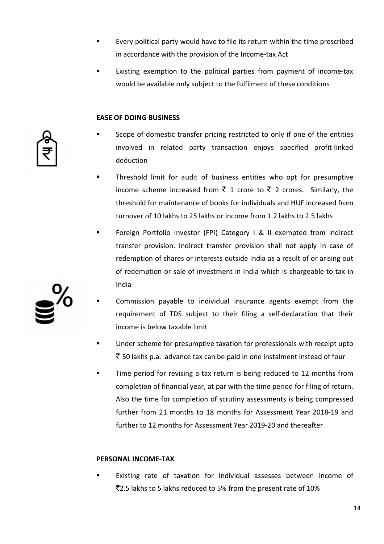- Every political party would have to file its return within the time prescribed in accordance with the provision of the Income-tax Act
- Existing exemption to the political parties from payment of income-tax would be available only subject to the fulfilment of these conditions

#### **EASE OF DOING BUSINESS**

- Scope of domestic transfer pricing restricted to only if one of the entities involved in related party transaction enjoys specified profit-linked deduction
- Threshold limit for audit of business entities who opt for presumptive income scheme increased from  $\bar{z}$  1 crore to  $\bar{z}$  2 crores. Similarly, the threshold for maintenance of books for individuals and HUF increased from turnover of 10 lakhs to 25 lakhs or income from 1.2 lakhs to 2.5 lakhs
- Foreign Portfolio Investor (FPI) Category I & II exempted from indirect transfer provision. Indirect transfer provision shall not apply in case of redemption of shares or interests outside India as a result of or arising out of redemption or sale of investment in India which is chargeable to tax in India
- Commission payable to individual insurance agents exempt from the requirement of TDS subject to their filing a self-declaration that their income is below taxable limit
- Under scheme for presumptive taxation for professionals with receipt upto  $\bar{\tau}$  50 lakhs p.a. advance tax can be paid in one instalment instead of four
- Time period for revising a tax return is being reduced to 12 months from completion of financial year, at par with the time period for filing of return. Also the time for completion of scrutiny assessments is being compressed further from 21 months to 18 months for Assessment Year 2018-19 and further to 12 months for Assessment Year 2019-20 and thereafter

### **PERSONAL INCOME-TAX**

 Existing rate of taxation for individual assesses between income of `2.5 lakhs to 5 lakhs reduced to 5% from the present rate of 10%